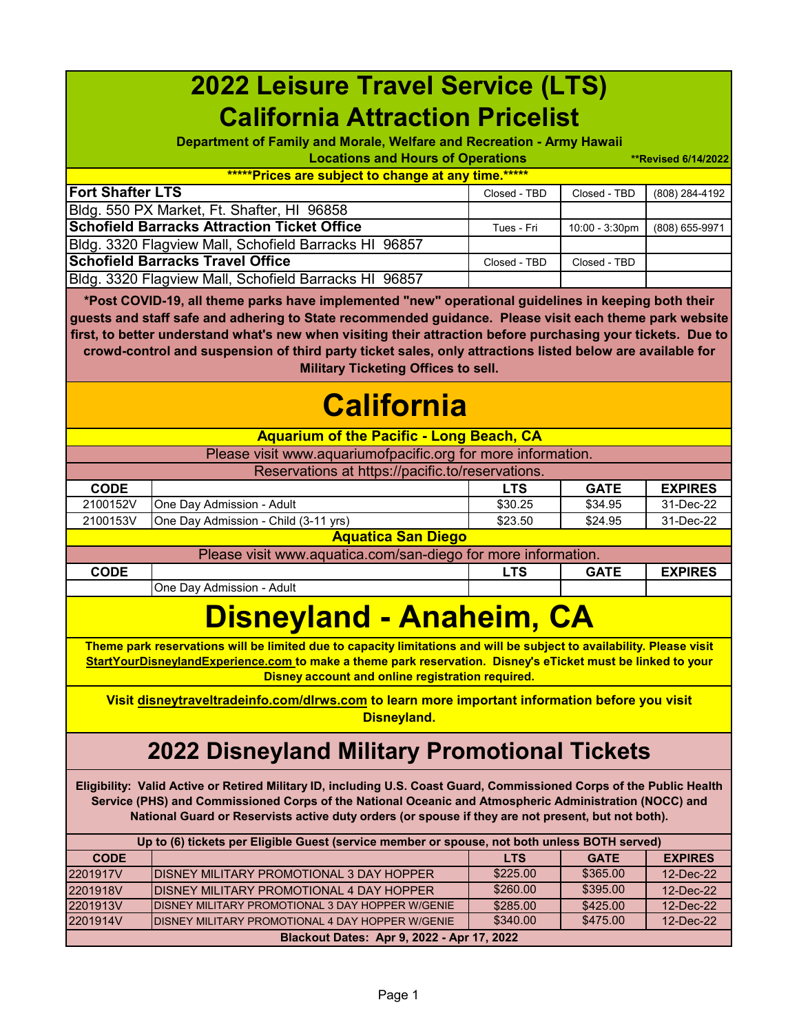| <b>2022 Leisure Travel Service (LTS)</b>                                                                                                                                                                                                                                                                                                                                                                                                                                                 |                                                                                                                                                                                                                                                                                          |              |                |                            |
|------------------------------------------------------------------------------------------------------------------------------------------------------------------------------------------------------------------------------------------------------------------------------------------------------------------------------------------------------------------------------------------------------------------------------------------------------------------------------------------|------------------------------------------------------------------------------------------------------------------------------------------------------------------------------------------------------------------------------------------------------------------------------------------|--------------|----------------|----------------------------|
| <b>California Attraction Pricelist</b>                                                                                                                                                                                                                                                                                                                                                                                                                                                   |                                                                                                                                                                                                                                                                                          |              |                |                            |
|                                                                                                                                                                                                                                                                                                                                                                                                                                                                                          | Department of Family and Morale, Welfare and Recreation - Army Hawaii                                                                                                                                                                                                                    |              |                |                            |
|                                                                                                                                                                                                                                                                                                                                                                                                                                                                                          | <b>Locations and Hours of Operations</b>                                                                                                                                                                                                                                                 |              |                | <b>**Revised 6/14/2022</b> |
|                                                                                                                                                                                                                                                                                                                                                                                                                                                                                          | *****Prices are subject to change at any time.*****                                                                                                                                                                                                                                      |              |                |                            |
| <b>Fort Shafter LTS</b>                                                                                                                                                                                                                                                                                                                                                                                                                                                                  |                                                                                                                                                                                                                                                                                          | Closed - TBD | Closed - TBD   | (808) 284-4192             |
|                                                                                                                                                                                                                                                                                                                                                                                                                                                                                          | Bldg. 550 PX Market, Ft. Shafter, HI 96858                                                                                                                                                                                                                                               |              |                |                            |
|                                                                                                                                                                                                                                                                                                                                                                                                                                                                                          | <b>Schofield Barracks Attraction Ticket Office</b>                                                                                                                                                                                                                                       | Tues - Fri   | 10:00 - 3:30pm | (808) 655-9971             |
|                                                                                                                                                                                                                                                                                                                                                                                                                                                                                          | Bldg. 3320 Flagview Mall, Schofield Barracks HI 96857                                                                                                                                                                                                                                    |              |                |                            |
|                                                                                                                                                                                                                                                                                                                                                                                                                                                                                          | <b>Schofield Barracks Travel Office</b>                                                                                                                                                                                                                                                  | Closed - TBD | Closed - TBD   |                            |
|                                                                                                                                                                                                                                                                                                                                                                                                                                                                                          | Bldg. 3320 Flagview Mall, Schofield Barracks HI 96857                                                                                                                                                                                                                                    |              |                |                            |
| *Post COVID-19, all theme parks have implemented "new" operational guidelines in keeping both their<br>guests and staff safe and adhering to State recommended guidance. Please visit each theme park website<br>first, to better understand what's new when visiting their attraction before purchasing your tickets. Due to<br>crowd-control and suspension of third party ticket sales, only attractions listed below are available for<br><b>Military Ticketing Offices to sell.</b> |                                                                                                                                                                                                                                                                                          |              |                |                            |
|                                                                                                                                                                                                                                                                                                                                                                                                                                                                                          | <b>California</b><br><b>Aquarium of the Pacific - Long Beach, CA</b>                                                                                                                                                                                                                     |              |                |                            |
|                                                                                                                                                                                                                                                                                                                                                                                                                                                                                          | Please visit www.aquariumofpacific.org for more information.                                                                                                                                                                                                                             |              |                |                            |
|                                                                                                                                                                                                                                                                                                                                                                                                                                                                                          | Reservations at https://pacific.to/reservations.                                                                                                                                                                                                                                         |              |                |                            |
| <b>CODE</b>                                                                                                                                                                                                                                                                                                                                                                                                                                                                              |                                                                                                                                                                                                                                                                                          | <b>LTS</b>   | <b>GATE</b>    | <b>EXPIRES</b>             |
| 2100152V                                                                                                                                                                                                                                                                                                                                                                                                                                                                                 | One Day Admission - Adult                                                                                                                                                                                                                                                                | \$30.25      | \$34.95        | 31-Dec-22                  |
| 2100153V                                                                                                                                                                                                                                                                                                                                                                                                                                                                                 | One Day Admission - Child (3-11 yrs)                                                                                                                                                                                                                                                     | \$23.50      | \$24.95        | 31-Dec-22                  |
|                                                                                                                                                                                                                                                                                                                                                                                                                                                                                          | <b>Aquatica San Diego</b>                                                                                                                                                                                                                                                                |              |                |                            |
|                                                                                                                                                                                                                                                                                                                                                                                                                                                                                          | Please visit www.aquatica.com/san-diego for more information.                                                                                                                                                                                                                            |              |                |                            |
| <b>CODE</b>                                                                                                                                                                                                                                                                                                                                                                                                                                                                              |                                                                                                                                                                                                                                                                                          | <b>LTS</b>   | <b>GATE</b>    | <b>EXPIRES</b>             |
|                                                                                                                                                                                                                                                                                                                                                                                                                                                                                          | One Day Admission - Adult                                                                                                                                                                                                                                                                |              |                |                            |
|                                                                                                                                                                                                                                                                                                                                                                                                                                                                                          | <b>Disneyland - Anaheim, CA</b>                                                                                                                                                                                                                                                          |              |                |                            |
|                                                                                                                                                                                                                                                                                                                                                                                                                                                                                          | Theme park reservations will be limited due to capacity limitations and will be subject to availability. Please visit<br>StartYourDisneylandExperience.com to make a theme park reservation. Disney's eTicket must be linked to your<br>Disney account and online registration required. |              |                |                            |
| Visit disneytraveltradeinfo.com/dlrws.com to learn more important information before you visit<br><b>Disneyland.</b>                                                                                                                                                                                                                                                                                                                                                                     |                                                                                                                                                                                                                                                                                          |              |                |                            |
| <b>2022 Disneyland Military Promotional Tickets</b>                                                                                                                                                                                                                                                                                                                                                                                                                                      |                                                                                                                                                                                                                                                                                          |              |                |                            |
| Eligibility: Valid Active or Retired Military ID, including U.S. Coast Guard, Commissioned Corps of the Public Health<br>Service (PHS) and Commissioned Corps of the National Oceanic and Atmospheric Administration (NOCC) and<br>National Guard or Reservists active duty orders (or spouse if they are not present, but not both).                                                                                                                                                    |                                                                                                                                                                                                                                                                                          |              |                |                            |
| Up to (6) tickets per Eligible Guest (service member or spouse, not both unless BOTH served)                                                                                                                                                                                                                                                                                                                                                                                             |                                                                                                                                                                                                                                                                                          |              |                |                            |
| <b>CODE</b>                                                                                                                                                                                                                                                                                                                                                                                                                                                                              |                                                                                                                                                                                                                                                                                          | <b>LTS</b>   | <b>GATE</b>    | <b>EXPIRES</b>             |
| 2201917V                                                                                                                                                                                                                                                                                                                                                                                                                                                                                 | DISNEY MILITARY PROMOTIONAL 3 DAY HOPPER                                                                                                                                                                                                                                                 | \$225.00     | \$365.00       | 12-Dec-22                  |
| 2201918V                                                                                                                                                                                                                                                                                                                                                                                                                                                                                 | DISNEY MILITARY PROMOTIONAL 4 DAY HOPPER                                                                                                                                                                                                                                                 | \$260.00     | \$395.00       | 12-Dec-22                  |
| 2201913V                                                                                                                                                                                                                                                                                                                                                                                                                                                                                 | DISNEY MILITARY PROMOTIONAL 3 DAY HOPPER W/GENIE                                                                                                                                                                                                                                         | \$285.00     | \$425.00       | 12-Dec-22                  |
| 2201914V                                                                                                                                                                                                                                                                                                                                                                                                                                                                                 | DISNEY MILITARY PROMOTIONAL 4 DAY HOPPER W/GENIE                                                                                                                                                                                                                                         | \$340.00     | \$475.00       | 12-Dec-22                  |
| Blackout Dates: Apr 9, 2022 - Apr 17, 2022                                                                                                                                                                                                                                                                                                                                                                                                                                               |                                                                                                                                                                                                                                                                                          |              |                |                            |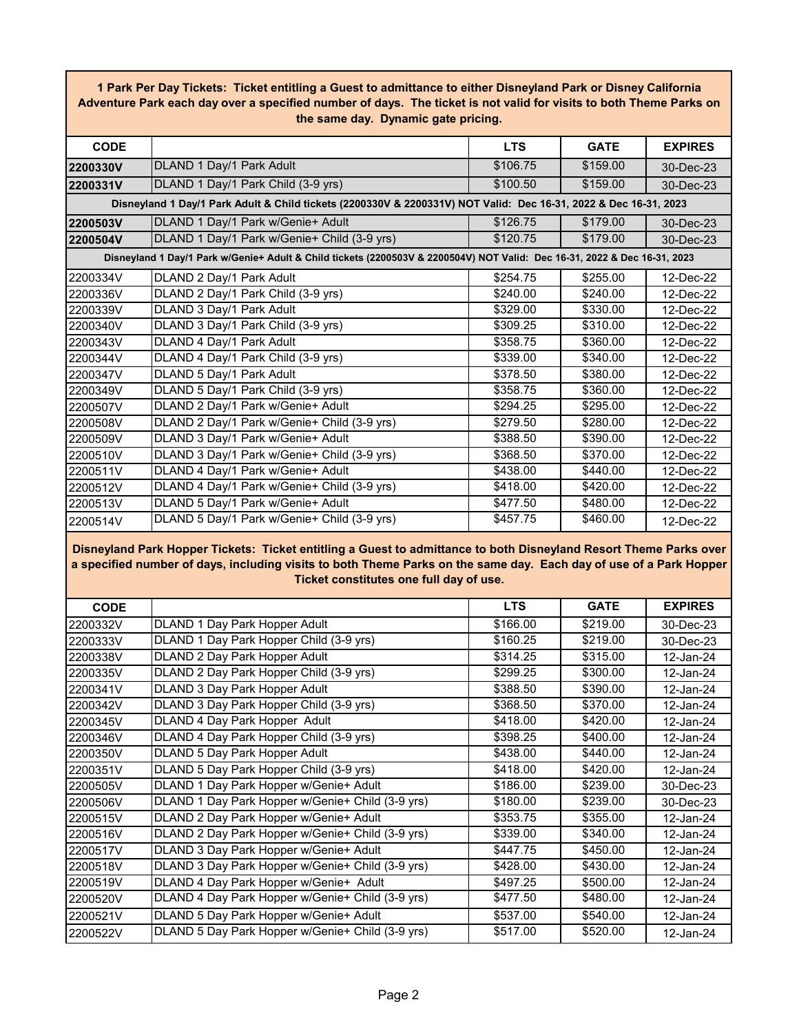**1 Park Per Day Tickets: Ticket entitling a Guest to admittance to either Disneyland Park or Disney California Adventure Park each day over a specified number of days. The ticket is not valid for visits to both Theme Parks on the same day. Dynamic gate pricing.**

| <b>CODE</b>                                                                                                               |                                                                                                                  | <b>LTS</b> | <b>GATE</b> | <b>EXPIRES</b> |  |  |
|---------------------------------------------------------------------------------------------------------------------------|------------------------------------------------------------------------------------------------------------------|------------|-------------|----------------|--|--|
| 2200330V                                                                                                                  | DLAND 1 Day/1 Park Adult                                                                                         | \$106.75   | \$159.00    | 30-Dec-23      |  |  |
| 2200331V                                                                                                                  | DLAND 1 Day/1 Park Child (3-9 yrs)                                                                               | \$100.50   | \$159.00    | 30-Dec-23      |  |  |
|                                                                                                                           | Disneyland 1 Day/1 Park Adult & Child tickets (2200330V & 2200331V) NOT Valid: Dec 16-31, 2022 & Dec 16-31, 2023 |            |             |                |  |  |
| 2200503V                                                                                                                  | DLAND 1 Day/1 Park w/Genie+ Adult                                                                                | \$126.75   | \$179.00    | 30-Dec-23      |  |  |
| 2200504V                                                                                                                  | DLAND 1 Day/1 Park w/Genie+ Child (3-9 yrs)                                                                      | \$120.75   | \$179.00    | 30-Dec-23      |  |  |
| Disneyland 1 Day/1 Park w/Genie+ Adult & Child tickets (2200503V & 2200504V) NOT Valid: Dec 16-31, 2022 & Dec 16-31, 2023 |                                                                                                                  |            |             |                |  |  |
| 2200334V                                                                                                                  | DLAND 2 Day/1 Park Adult                                                                                         | \$254.75   | \$255.00    | $12$ -Dec-22   |  |  |
| 2200336V                                                                                                                  | DLAND 2 Day/1 Park Child (3-9 yrs)                                                                               | \$240.00   | \$240.00    | 12-Dec-22      |  |  |
| 2200339V                                                                                                                  | DLAND 3 Day/1 Park Adult                                                                                         | \$329.00   | \$330.00    | 12-Dec-22      |  |  |
| 2200340V                                                                                                                  | DLAND 3 Day/1 Park Child (3-9 yrs)                                                                               | \$309.25   | \$310.00    | 12-Dec-22      |  |  |
| 2200343V                                                                                                                  | DLAND 4 Day/1 Park Adult                                                                                         | \$358.75   | \$360.00    | 12-Dec-22      |  |  |
| 2200344V                                                                                                                  | DLAND 4 Day/1 Park Child (3-9 yrs)                                                                               | \$339.00   | \$340.00    | 12-Dec-22      |  |  |
| 2200347V                                                                                                                  | DLAND 5 Day/1 Park Adult                                                                                         | \$378.50   | \$380.00    | 12-Dec-22      |  |  |
| 2200349V                                                                                                                  | DLAND 5 Day/1 Park Child (3-9 yrs)                                                                               | \$358.75   | \$360.00    | 12-Dec-22      |  |  |
| 2200507V                                                                                                                  | DLAND 2 Day/1 Park w/Genie+ Adult                                                                                | \$294.25   | \$295.00    | 12-Dec-22      |  |  |
| 2200508V                                                                                                                  | DLAND 2 Day/1 Park w/Genie+ Child (3-9 yrs)                                                                      | \$279.50   | \$280.00    | 12-Dec-22      |  |  |
| 2200509V                                                                                                                  | DLAND 3 Day/1 Park w/Genie+ Adult                                                                                | \$388.50   | \$390.00    | 12-Dec-22      |  |  |
| 2200510V                                                                                                                  | DLAND 3 Day/1 Park w/Genie+ Child (3-9 yrs)                                                                      | \$368.50   | \$370.00    | 12-Dec-22      |  |  |
| 2200511V                                                                                                                  | DLAND 4 Day/1 Park w/Genie+ Adult                                                                                | \$438.00   | \$440.00    | 12-Dec-22      |  |  |
| 2200512V                                                                                                                  | DLAND 4 Day/1 Park w/Genie+ Child (3-9 yrs)                                                                      | \$418.00   | \$420.00    | 12-Dec-22      |  |  |
| 2200513V                                                                                                                  | DLAND 5 Day/1 Park w/Genie+ Adult                                                                                | \$477.50   | \$480.00    | 12-Dec-22      |  |  |
| 2200514V                                                                                                                  | DLAND 5 Day/1 Park w/Genie+ Child (3-9 yrs)                                                                      | \$457.75   | \$460.00    | 12-Dec-22      |  |  |

**Disneyland Park Hopper Tickets: Ticket entitling a Guest to admittance to both Disneyland Resort Theme Parks over a specified number of days, including visits to both Theme Parks on the same day. Each day of use of a Park Hopper Ticket constitutes one full day of use.**

| <b>CODE</b> |                                                  | <b>LTS</b> | <b>GATE</b> | <b>EXPIRES</b> |
|-------------|--------------------------------------------------|------------|-------------|----------------|
| 2200332V    | DLAND 1 Day Park Hopper Adult                    | \$166.00   | \$219.00    | 30-Dec-23      |
| 2200333V    | DLAND 1 Day Park Hopper Child (3-9 yrs)          | \$160.25   | \$219.00    | 30-Dec-23      |
| 2200338V    | DLAND 2 Day Park Hopper Adult                    | \$314.25   | \$315.00    | 12-Jan-24      |
| 2200335V    | DLAND 2 Day Park Hopper Child (3-9 yrs)          | \$299.25   | \$300.00    | 12-Jan-24      |
| 2200341V    | DLAND 3 Day Park Hopper Adult                    | \$388.50   | \$390.00    | 12-Jan-24      |
| 2200342V    | DLAND 3 Day Park Hopper Child (3-9 yrs)          | \$368.50   | \$370.00    | 12-Jan-24      |
| 2200345V    | DLAND 4 Day Park Hopper Adult                    | \$418.00   | \$420.00    | 12-Jan-24      |
| 2200346V    | DLAND 4 Day Park Hopper Child (3-9 yrs)          | \$398.25   | \$400.00    | 12-Jan-24      |
| 2200350V    | DLAND 5 Day Park Hopper Adult                    | \$438.00   | \$440.00    | 12-Jan-24      |
| 2200351V    | DLAND 5 Day Park Hopper Child (3-9 yrs)          | \$418.00   | \$420.00    | 12-Jan-24      |
| 2200505V    | DLAND 1 Day Park Hopper w/Genie+ Adult           | \$186.00   | \$239.00    | 30-Dec-23      |
| 2200506V    | DLAND 1 Day Park Hopper w/Genie+ Child (3-9 yrs) | \$180.00   | \$239.00    | 30-Dec-23      |
| 2200515V    | DLAND 2 Day Park Hopper w/Genie+ Adult           | \$353.75   | \$355.00    | 12-Jan-24      |
| 2200516V    | DLAND 2 Day Park Hopper w/Genie+ Child (3-9 yrs) | \$339.00   | \$340.00    | 12-Jan-24      |
| 2200517V    | DLAND 3 Day Park Hopper w/Genie+ Adult           | \$447.75   | \$450.00    | 12-Jan-24      |
| 2200518V    | DLAND 3 Day Park Hopper w/Genie+ Child (3-9 yrs) | \$428.00   | \$430.00    | 12-Jan-24      |
| 2200519V    | DLAND 4 Day Park Hopper w/Genie+ Adult           | \$497.25   | \$500.00    | 12-Jan-24      |
| 2200520V    | DLAND 4 Day Park Hopper w/Genie+ Child (3-9 yrs) | \$477.50   | \$480.00    | 12-Jan-24      |
| 2200521V    | DLAND 5 Day Park Hopper w/Genie+ Adult           | \$537.00   | \$540.00    | 12-Jan-24      |
| 2200522V    | DLAND 5 Day Park Hopper w/Genie+ Child (3-9 yrs) | \$517.00   | \$520.00    | 12-Jan-24      |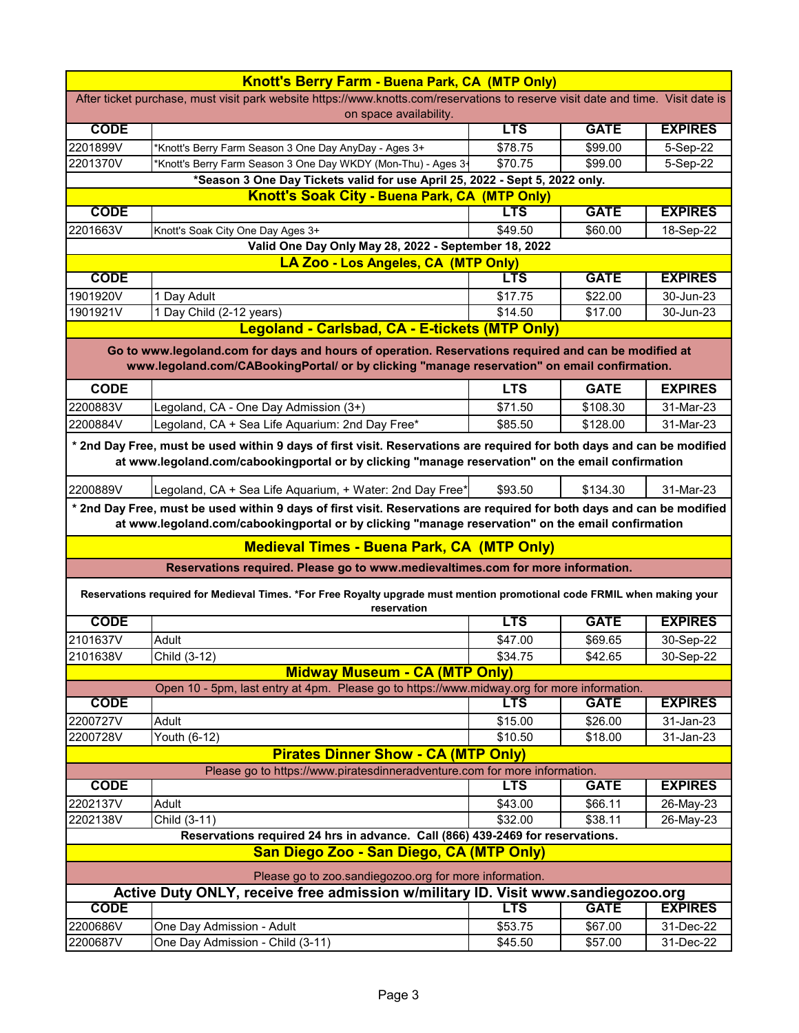| <b>Knott's Berry Farm - Buena Park, CA (MTP Only)</b>                                                                                                                                                                       |                                                                                                                                                                                                                             |            |             |                |
|-----------------------------------------------------------------------------------------------------------------------------------------------------------------------------------------------------------------------------|-----------------------------------------------------------------------------------------------------------------------------------------------------------------------------------------------------------------------------|------------|-------------|----------------|
| After ticket purchase, must visit park website https://www.knotts.com/reservations to reserve visit date and time. Visit date is<br>on space availability.                                                                  |                                                                                                                                                                                                                             |            |             |                |
| <b>CODE</b>                                                                                                                                                                                                                 |                                                                                                                                                                                                                             | <b>LTS</b> | <b>GATE</b> | <b>EXPIRES</b> |
| 2201899V                                                                                                                                                                                                                    | *Knott's Berry Farm Season 3 One Day AnyDay - Ages 3+                                                                                                                                                                       | \$78.75    | \$99.00     | 5-Sep-22       |
| 2201370V                                                                                                                                                                                                                    | *Knott's Berry Farm Season 3 One Day WKDY (Mon-Thu) - Ages 3-                                                                                                                                                               | \$70.75    | \$99.00     | 5-Sep-22       |
|                                                                                                                                                                                                                             | *Season 3 One Day Tickets valid for use April 25, 2022 - Sept 5, 2022 only.                                                                                                                                                 |            |             |                |
|                                                                                                                                                                                                                             | <b>Knott's Soak City - Buena Park, CA (MTP Only)</b>                                                                                                                                                                        |            |             |                |
| <b>CODE</b>                                                                                                                                                                                                                 |                                                                                                                                                                                                                             | <b>LTS</b> | <b>GATE</b> | <b>EXPIRES</b> |
| 2201663V                                                                                                                                                                                                                    | Knott's Soak City One Day Ages 3+                                                                                                                                                                                           | \$49.50    | \$60.00     | 18-Sep-22      |
|                                                                                                                                                                                                                             | Valid One Day Only May 28, 2022 - September 18, 2022                                                                                                                                                                        |            |             |                |
|                                                                                                                                                                                                                             | LA Zoo - Los Angeles, CA (MTP Only)                                                                                                                                                                                         |            |             |                |
| <b>CODE</b>                                                                                                                                                                                                                 |                                                                                                                                                                                                                             | <b>LTS</b> | <b>GATE</b> | <b>EXPIRES</b> |
| 1901920V                                                                                                                                                                                                                    | 1 Day Adult                                                                                                                                                                                                                 | \$17.75    | \$22.00     | 30-Jun-23      |
| 1901921V                                                                                                                                                                                                                    | 1 Day Child (2-12 years)                                                                                                                                                                                                    | \$14.50    | \$17.00     | 30-Jun-23      |
|                                                                                                                                                                                                                             | Legoland - Carlsbad, CA - E-tickets (MTP Only)                                                                                                                                                                              |            |             |                |
|                                                                                                                                                                                                                             | Go to www.legoland.com for days and hours of operation. Reservations required and can be modified at<br>www.legoland.com/CABookingPortal/ or by clicking "manage reservation" on email confirmation.                        |            |             |                |
| <b>CODE</b>                                                                                                                                                                                                                 |                                                                                                                                                                                                                             | <b>LTS</b> | <b>GATE</b> | <b>EXPIRES</b> |
| 2200883V                                                                                                                                                                                                                    | Legoland, CA - One Day Admission (3+)                                                                                                                                                                                       | \$71.50    | \$108.30    | 31-Mar-23      |
| 2200884V                                                                                                                                                                                                                    | Legoland, CA + Sea Life Aquarium: 2nd Day Free*                                                                                                                                                                             | \$85.50    | \$128.00    | 31-Mar-23      |
| * 2nd Day Free, must be used within 9 days of first visit. Reservations are required for both days and can be modified<br>at www.legoland.com/cabookingportal or by clicking "manage reservation" on the email confirmation |                                                                                                                                                                                                                             |            |             |                |
| 2200889V                                                                                                                                                                                                                    | Legoland, CA + Sea Life Aquarium, + Water: 2nd Day Free*                                                                                                                                                                    | \$93.50    | \$134.30    | 31-Mar-23      |
|                                                                                                                                                                                                                             | * 2nd Day Free, must be used within 9 days of first visit. Reservations are required for both days and can be modified<br>at www.legoland.com/cabookingportal or by clicking "manage reservation" on the email confirmation |            |             |                |
|                                                                                                                                                                                                                             | <b>Medieval Times - Buena Park, CA (MTP Only)</b>                                                                                                                                                                           |            |             |                |
|                                                                                                                                                                                                                             | Reservations required. Please go to www.medievaltimes.com for more information.                                                                                                                                             |            |             |                |
|                                                                                                                                                                                                                             | Reservations required for Medieval Times. *For Free Royalty upgrade must mention promotional code FRMIL when making your<br>reservation                                                                                     |            |             |                |
| <b>CODE</b>                                                                                                                                                                                                                 |                                                                                                                                                                                                                             | <b>LTS</b> | <b>GATE</b> | <b>EXPIRES</b> |
| 2101637V                                                                                                                                                                                                                    | Adult                                                                                                                                                                                                                       | \$47.00    | \$69.65     | 30-Sep-22      |
| 2101638V                                                                                                                                                                                                                    | Child (3-12)                                                                                                                                                                                                                | \$34.75    | \$42.65     | 30-Sep-22      |
|                                                                                                                                                                                                                             | <b>Midway Museum - CA (MTP Only)</b>                                                                                                                                                                                        |            |             |                |
|                                                                                                                                                                                                                             | Open 10 - 5pm, last entry at 4pm. Please go to https://www.midway.org for more information.                                                                                                                                 |            |             |                |
| <b>CODE</b>                                                                                                                                                                                                                 |                                                                                                                                                                                                                             | LTS        | <b>GATE</b> | <b>EXPIRES</b> |
| 2200727V                                                                                                                                                                                                                    | Adult                                                                                                                                                                                                                       | \$15.00    | \$26.00     | 31-Jan-23      |
| 2200728V                                                                                                                                                                                                                    | Youth (6-12)                                                                                                                                                                                                                | \$10.50    | \$18.00     | 31-Jan-23      |
|                                                                                                                                                                                                                             | <b>Pirates Dinner Show - CA (MTP Only)</b>                                                                                                                                                                                  |            |             |                |
|                                                                                                                                                                                                                             | Please go to https://www.piratesdinneradventure.com for more information.                                                                                                                                                   |            |             |                |
| <b>CODE</b>                                                                                                                                                                                                                 |                                                                                                                                                                                                                             | <b>LTS</b> | <b>GATE</b> | <b>EXPIRES</b> |
| 2202137V                                                                                                                                                                                                                    | Adult                                                                                                                                                                                                                       | \$43.00    | \$66.11     | 26-May-23      |
| 2202138V                                                                                                                                                                                                                    | Child (3-11)                                                                                                                                                                                                                | \$32.00    | \$38.11     | 26-May-23      |
| Reservations required 24 hrs in advance. Call (866) 439-2469 for reservations.                                                                                                                                              |                                                                                                                                                                                                                             |            |             |                |
| San Diego Zoo - San Diego, CA (MTP Only)                                                                                                                                                                                    |                                                                                                                                                                                                                             |            |             |                |
| Please go to zoo.sandiegozoo.org for more information.                                                                                                                                                                      |                                                                                                                                                                                                                             |            |             |                |
|                                                                                                                                                                                                                             | Active Duty ONLY, receive free admission w/military ID. Visit www.sandiegozoo.org                                                                                                                                           |            |             |                |
| <b>CODE</b>                                                                                                                                                                                                                 |                                                                                                                                                                                                                             | <b>LTS</b> | <b>GATE</b> | <b>EXPIRES</b> |
| 2200686V                                                                                                                                                                                                                    | One Day Admission - Adult                                                                                                                                                                                                   | \$53.75    | \$67.00     | 31-Dec-22      |
| 2200687V                                                                                                                                                                                                                    | One Day Admission - Child (3-11)                                                                                                                                                                                            | \$45.50    | \$57.00     | 31-Dec-22      |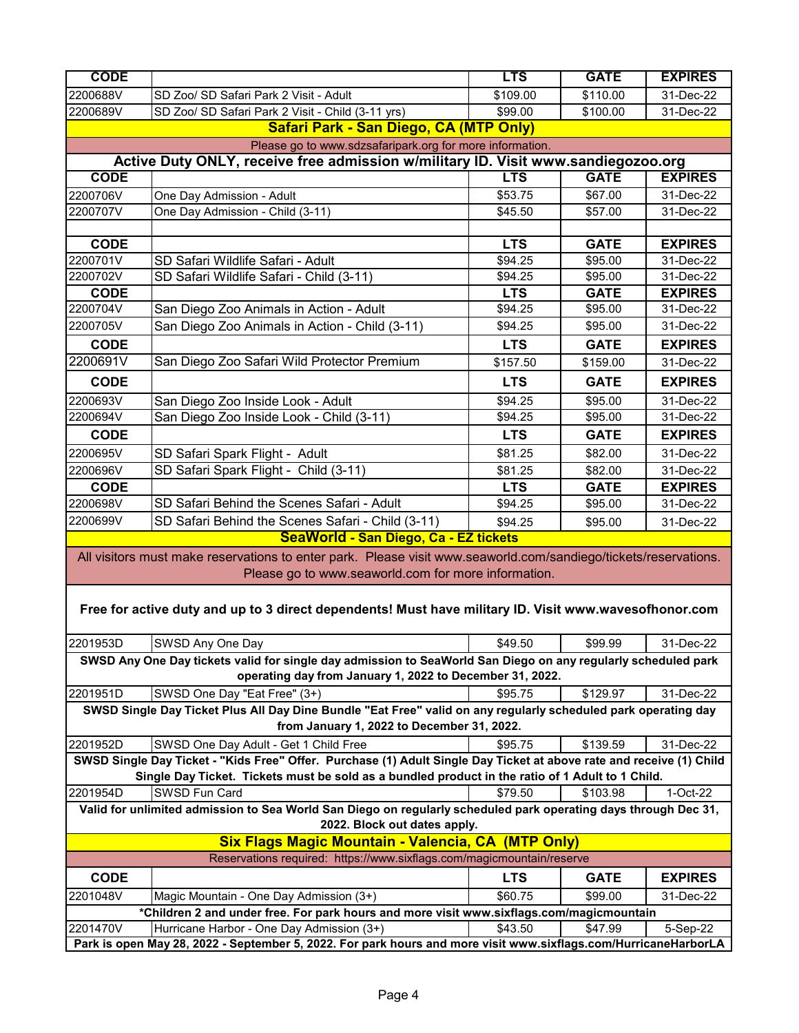| <b>CODE</b>                                                                                                     |                                                                                                                      | <b>LTS</b>          | <b>GATE</b> | <b>EXPIRES</b> |  |
|-----------------------------------------------------------------------------------------------------------------|----------------------------------------------------------------------------------------------------------------------|---------------------|-------------|----------------|--|
| 2200688V                                                                                                        | SD Zoo/ SD Safari Park 2 Visit - Adult                                                                               | \$109.00            | \$110.00    | 31-Dec-22      |  |
| 2200689V                                                                                                        | SD Zoo/ SD Safari Park 2 Visit - Child (3-11 yrs)                                                                    | \$99.00             | \$100.00    | 31-Dec-22      |  |
|                                                                                                                 | Safari Park - San Diego, CA (MTP Only)                                                                               |                     |             |                |  |
|                                                                                                                 | Please go to www.sdzsafaripark.org for more information.                                                             |                     |             |                |  |
|                                                                                                                 | Active Duty ONLY, receive free admission w/military ID. Visit www.sandiegozoo.org                                    |                     |             |                |  |
| <b>CODE</b>                                                                                                     |                                                                                                                      | <b>LTS</b>          | <b>GATE</b> | <b>EXPIRES</b> |  |
| 2200706V                                                                                                        | One Day Admission - Adult                                                                                            | \$53.75             | \$67.00     | 31-Dec-22      |  |
| 2200707V                                                                                                        | One Day Admission - Child (3-11)                                                                                     | \$45.50             | \$57.00     | 31-Dec-22      |  |
|                                                                                                                 |                                                                                                                      |                     |             |                |  |
| <b>CODE</b>                                                                                                     |                                                                                                                      | <b>LTS</b>          | <b>GATE</b> | <b>EXPIRES</b> |  |
| 2200701V                                                                                                        | SD Safari Wildlife Safari - Adult                                                                                    | \$94.25             | \$95.00     | 31-Dec-22      |  |
| 2200702V                                                                                                        | SD Safari Wildlife Safari - Child (3-11)                                                                             | \$94.25             | \$95.00     | 31-Dec-22      |  |
| <b>CODE</b>                                                                                                     |                                                                                                                      | <b>LTS</b>          | <b>GATE</b> | <b>EXPIRES</b> |  |
| 2200704V                                                                                                        | San Diego Zoo Animals in Action - Adult                                                                              | \$94.25             | \$95.00     | 31-Dec-22      |  |
| 2200705V                                                                                                        | San Diego Zoo Animals in Action - Child (3-11)                                                                       | \$94.25             | \$95.00     | 31-Dec-22      |  |
| <b>CODE</b>                                                                                                     |                                                                                                                      | <b>LTS</b>          | <b>GATE</b> | <b>EXPIRES</b> |  |
| 2200691V                                                                                                        | San Diego Zoo Safari Wild Protector Premium                                                                          | \$157.50            | \$159.00    | 31-Dec-22      |  |
| <b>CODE</b>                                                                                                     |                                                                                                                      | <b>LTS</b>          | <b>GATE</b> | <b>EXPIRES</b> |  |
| 2200693V                                                                                                        | San Diego Zoo Inside Look - Adult                                                                                    | $\overline{$94.25}$ | \$95.00     | 31-Dec-22      |  |
| 2200694V                                                                                                        | San Diego Zoo Inside Look - Child (3-11)                                                                             | \$94.25             | \$95.00     | 31-Dec-22      |  |
| <b>CODE</b>                                                                                                     |                                                                                                                      | <b>LTS</b>          | <b>GATE</b> | <b>EXPIRES</b> |  |
| 2200695V                                                                                                        | SD Safari Spark Flight - Adult                                                                                       | \$81.25             | \$82.00     | 31-Dec-22      |  |
| 2200696V                                                                                                        | SD Safari Spark Flight - Child (3-11)                                                                                | \$81.25             | \$82.00     | 31-Dec-22      |  |
| <b>CODE</b>                                                                                                     |                                                                                                                      | <b>LTS</b>          | <b>GATE</b> | <b>EXPIRES</b> |  |
| 2200698V                                                                                                        | SD Safari Behind the Scenes Safari - Adult                                                                           | \$94.25             | \$95.00     | 31-Dec-22      |  |
| 2200699V                                                                                                        | SD Safari Behind the Scenes Safari - Child (3-11)                                                                    | \$94.25             | \$95.00     | 31-Dec-22      |  |
| SeaWorld - San Diego, Ca - EZ tickets                                                                           |                                                                                                                      |                     |             |                |  |
|                                                                                                                 | All visitors must make reservations to enter park. Please visit www.seaworld.com/sandiego/tickets/reservations.      |                     |             |                |  |
|                                                                                                                 | Please go to www.seaworld.com for more information.                                                                  |                     |             |                |  |
|                                                                                                                 |                                                                                                                      |                     |             |                |  |
|                                                                                                                 | Free for active duty and up to 3 direct dependents! Must have military ID. Visit www.wavesofhonor.com                |                     |             |                |  |
|                                                                                                                 |                                                                                                                      |                     |             |                |  |
| 2201953D                                                                                                        | SWSD Any One Day                                                                                                     | \$49.50             | \$99.99     | 31-Dec-22      |  |
|                                                                                                                 | SWSD Any One Day tickets valid for single day admission to SeaWorld San Diego on any regularly scheduled park        |                     |             |                |  |
|                                                                                                                 | operating day from January 1, 2022 to December 31, 2022.                                                             |                     |             |                |  |
| 2201951D                                                                                                        | SWSD One Day "Eat Free" (3+)                                                                                         | \$95.75             | \$129.97    | 31-Dec-22      |  |
|                                                                                                                 | SWSD Single Day Ticket Plus All Day Dine Bundle "Eat Free" valid on any regularly scheduled park operating day       |                     |             |                |  |
|                                                                                                                 | from January 1, 2022 to December 31, 2022.                                                                           |                     |             |                |  |
| 2201952D                                                                                                        | SWSD One Day Adult - Get 1 Child Free                                                                                | \$95.75             | \$139.59    | 31-Dec-22      |  |
|                                                                                                                 | SWSD Single Day Ticket - "Kids Free" Offer. Purchase (1) Adult Single Day Ticket at above rate and receive (1) Child |                     |             |                |  |
|                                                                                                                 | Single Day Ticket. Tickets must be sold as a bundled product in the ratio of 1 Adult to 1 Child.                     |                     |             |                |  |
| 2201954D                                                                                                        | SWSD Fun Card                                                                                                        | \$79.50             | \$103.98    | 1-Oct-22       |  |
|                                                                                                                 | Valid for unlimited admission to Sea World San Diego on regularly scheduled park operating days through Dec 31,      |                     |             |                |  |
| 2022. Block out dates apply.                                                                                    |                                                                                                                      |                     |             |                |  |
| <b>Six Flags Magic Mountain - Valencia, CA (MTP Only)</b>                                                       |                                                                                                                      |                     |             |                |  |
|                                                                                                                 | Reservations required: https://www.sixflags.com/magicmountain/reserve                                                |                     |             |                |  |
| <b>CODE</b>                                                                                                     |                                                                                                                      | <b>LTS</b>          | <b>GATE</b> | <b>EXPIRES</b> |  |
| 2201048V                                                                                                        | Magic Mountain - One Day Admission (3+)                                                                              | \$60.75             | \$99.00     | 31-Dec-22      |  |
| *Children 2 and under free. For park hours and more visit www.sixflags.com/magicmountain                        |                                                                                                                      |                     |             |                |  |
| 2201470V                                                                                                        | Hurricane Harbor - One Day Admission (3+)                                                                            | \$43.50             | \$47.99     | 5-Sep-22       |  |
| Park is open May 28, 2022 - September 5, 2022. For park hours and more visit www.sixflags.com/HurricaneHarborLA |                                                                                                                      |                     |             |                |  |